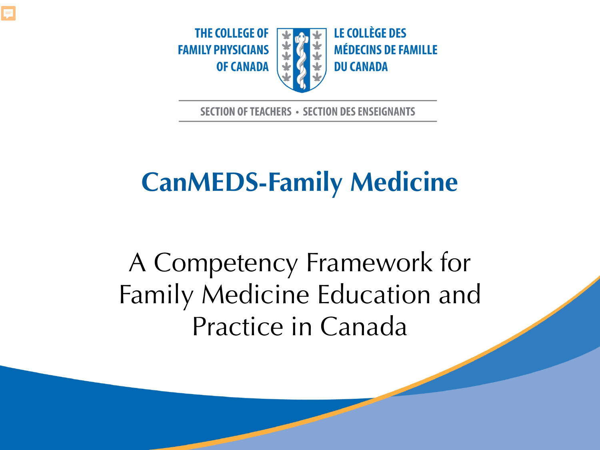



**SECTION OF TEACHERS · SECTION DES ENSEIGNANTS** 

#### **CanMEDS-Family Medicine**

A Competency Framework for Family Medicine Education and Practice in Canada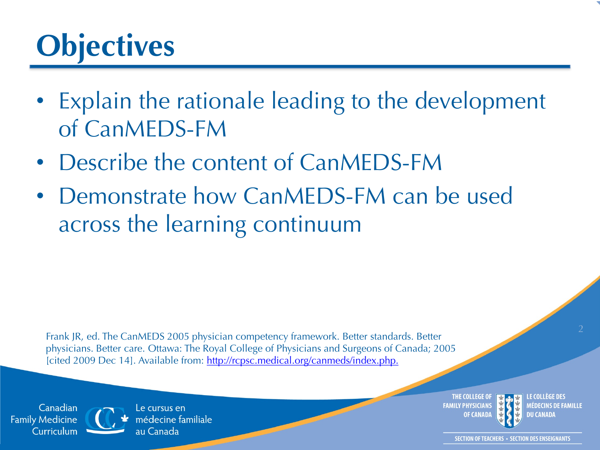#### **Objectives**

- Explain the rationale leading to the development of CanMEDS-FM
- Describe the content of CanMEDS-FM
- Demonstrate how CanMEDS-FM can be used across the learning continuum

Frank JR, ed. The CanMEDS 2005 physician competency framework. Better standards. Better physicians. Better care. Ottawa: The Royal College of Physicians and Surgeons of Canada; 2005 [cited 2009 Dec 14]. Available from:<http://rcpsc.medical.org/canmeds/index.php.>

Canadian **Family Medicine** Curriculum Le cursus en médecine familiale au Canada

THE COLLEGE OI **FAMILY PHYSICIANS OF CANAD** 



MÉDECINS DE FAMILLE DU CANADA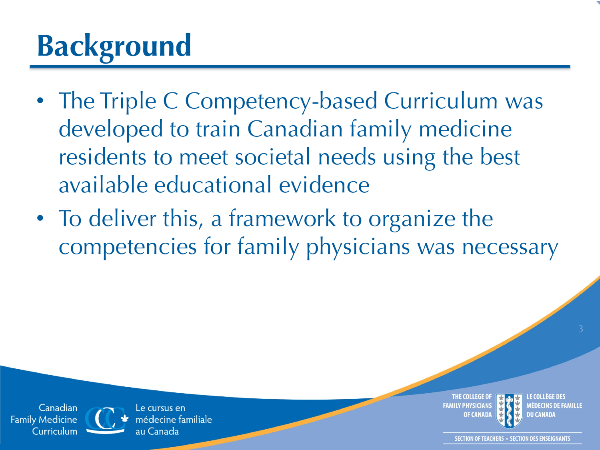## **Background**

- The Triple C Competency-based Curriculum was developed to train Canadian family medicine residents to meet societal needs using the best available educational evidence
- To deliver this, a framework to organize the competencies for family physicians was necessary

Canadian **Family Medicine** Curriculum

Le cursus en nédecine familiale au Canada

THE COLLEGE OI **FAMILY PHYSICIANS** 

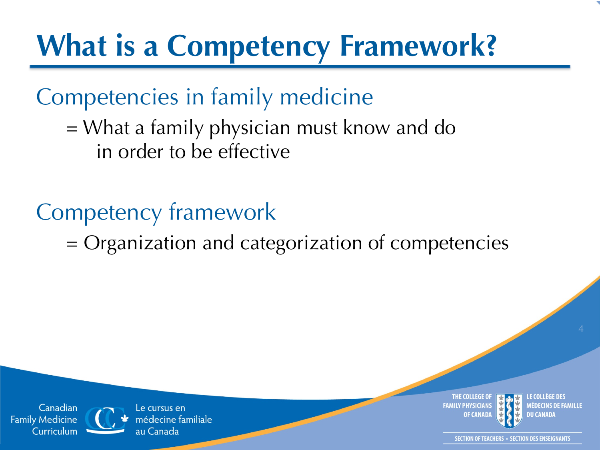#### **What is a Competency Framework?**

Competencies in family medicine

= What a family physician must know and do in order to be effective

Competency framework

= Organization and categorization of competencies



MÉDECINS DE FAMILLE

Canadian **Family Medicine** Curriculum

Le cursus en nédecine familiale au Canada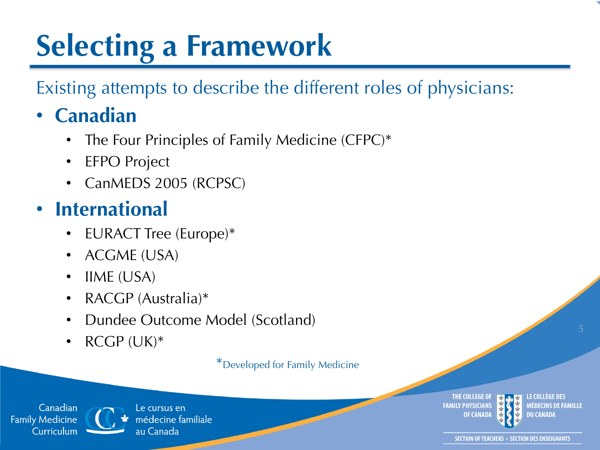## **Selecting a Framework**

#### Existing attempts to describe the different roles of physicians:

#### • **Canadian**

- The Four Principles of Family Medicine (CFPC)\*
- EFPO Project
- CanMEDS 2005 (RCPSC)

#### • **International**

- EURACT Tree (Europe)\*
- ACGME (USA)
- IIME (USA)
- RACGP (Australia)\*
- Dundee Outcome Model (Scotland)
- RCGP (UK)\*

\*Developed for Family Medicine

Canadian **Family Medicine** Curriculum



Le cursus en médecine familiale au Canada

THE COLLEGE OI **FAMILY PHYSICIANS OF CANAD** 

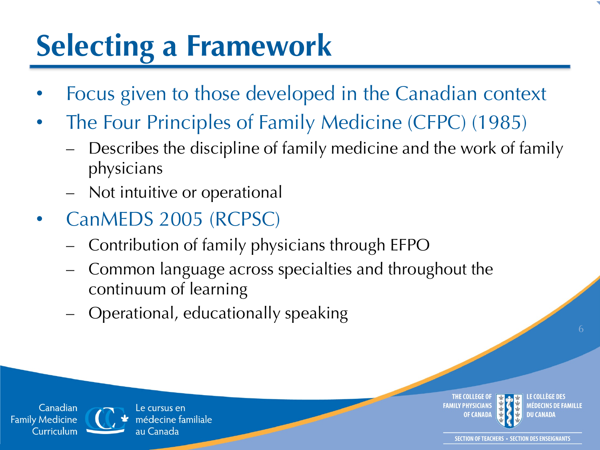#### **Selecting a Framework**

- Focus given to those developed in the Canadian context
- The Four Principles of Family Medicine (CFPC) (1985)
	- Describes the discipline of family medicine and the work of family physicians
	- Not intuitive or operational
- CanMEDS 2005 (RCPSC)
	- Contribution of family physicians through EFPO
	- Common language across specialties and throughout the continuum of learning
	- Operational, educationally speaking

Canadian **Family Medicine** Curriculum



Le cursus en médecine familiale au Canada

THE COLLEGE OI **FAMILY PHYSICIANS** 

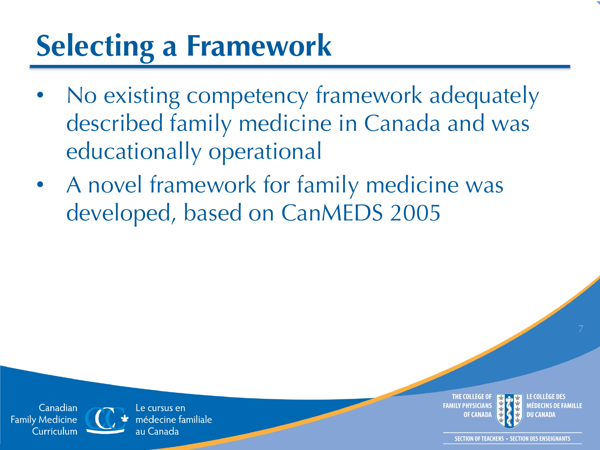#### **Selecting a Framework**

- No existing competency framework adequately described family medicine in Canada and was educationally operational
- A novel framework for family medicine was developed, based on CanMEDS 2005

Canadian **Family Medicine** Curriculum



Le cursus en médecine familiale au Canada

THE COLLEGE OI **FAMILY PHYSICIANS OF CANAD** 

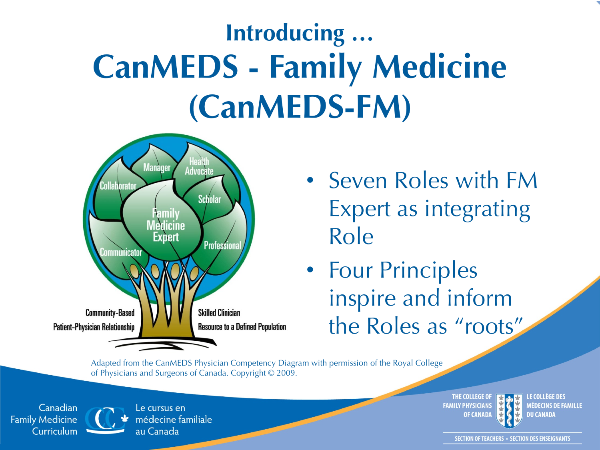### **Introducing … CanMEDS - Family Medicine (CanMEDS-FM)**



- Seven Roles with FM Expert as integrating Role
- Four Principles inspire and inform the Roles as "roots"

Adapted from the CanMEDS Physician Competency Diagram with permission of the Royal College of Physicians and Surgeons of Canada. Copyright © 2009.

Canadian **Family Medicine** Curriculum



Le cursus en médecine familiale au Canada

**THE COLLEGE OF FAMILY PHYSICIANS OF CANADA** 



LE COLLÈGE DES **MÉDECINS DE FAMILLE DU CANADA**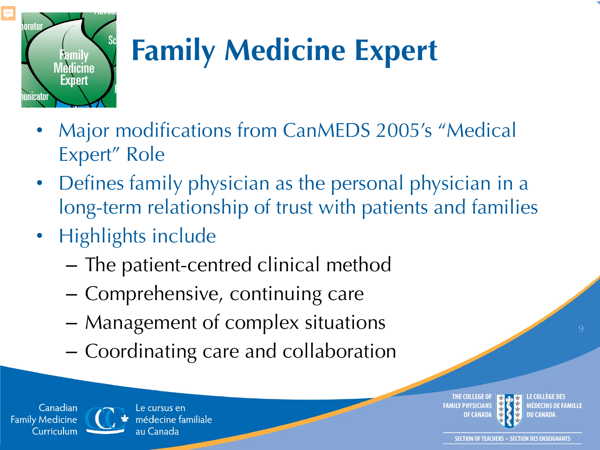

## **Family Medicine Expert**

- Major modifications from CanMEDS 2005's "Medical Expert" Role
- Defines family physician as the personal physician in a long-term relationship of trust with patients and families
- Highlights include
	- The patient-centred clinical method
	- Comprehensive, continuing care
	- Management of complex situations
	- Coordinating care and collaboration

Canadian **Family Medicine** Curriculum



Le cursus en médecine familiale au Canada

THE COLLEGE OF **FAMILY PHYSICIANS OF CANAD** 



MÉDECINS DE FAMILLE **DU CANADA**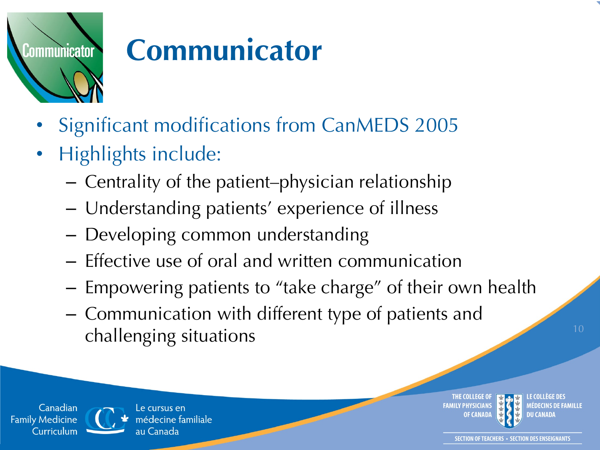

#### **Communicator**

- Significant modifications from CanMEDS 2005
- Highlights include:
	- Centrality of the patient–physician relationship
	- Understanding patients' experience of illness
	- Developing common understanding
	- Effective use of oral and written communication
	- Empowering patients to "take charge" of their own health
	- Communication with different type of patients and challenging situations and the challenging situations of the challenging  $\frac{10}{2}$

Canadian **Family Medicine** Curriculum

Le cursus en nédecine familiale au Canada

THE COLLEGE OF **FAMILY PHYSICIANS** 



MÉDECINS DE FAMILLE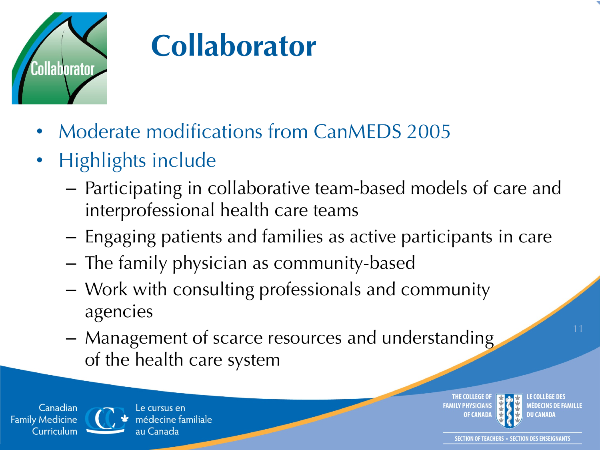

#### **Collaborator**

- Moderate modifications from CanMEDS 2005
- Highlights include
	- Participating in collaborative team-based models of care and interprofessional health care teams
	- Engaging patients and families as active participants in care
	- The family physician as community-based
	- Work with consulting professionals and community agencies
	- Management of scarce resources and understanding of the health care system

Canadian **Family Medicine** Curriculum



**THE COLLEGE O FAMILY PHYSICIANS OF CANAD** 



MÉDECINS DE FAMILLE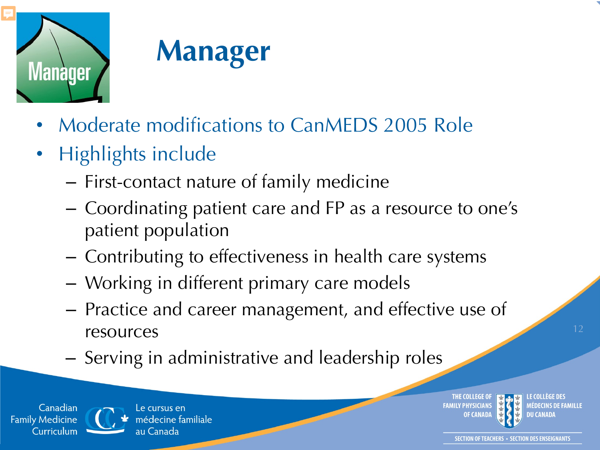



- Moderate modifications to CanMEDS 2005 Role
- Highlights include
	- First-contact nature of family medicine
	- Coordinating patient care and FP as a resource to one's patient population
	- Contributing to effectiveness in health care systems
	- Working in different primary care models
	- Practice and career management, and effective use of resources
	- Serving in administrative and leadership roles

Canadian **Family Medicine** Curriculum



Le cursus en médecine familiale au Canada

THE COLLEGE OF **FAMILY PHYSICIANS OF CANAD** 

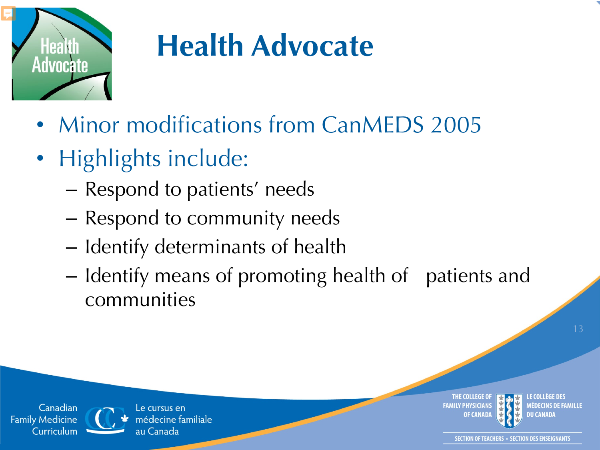

Canadian

Curriculum

**Family Medicine** 

#### **Health Advocate**

- Minor modifications from CanMEDS 2005
- Highlights include:

Le cursus en

au Canada

médecine familiale

- Respond to patients' needs
- Respond to community needs
- Identify determinants of health
- Identify means of promoting health of patients and communities

THE COLLEGE OF **FAMILY PHYSICIANS** 

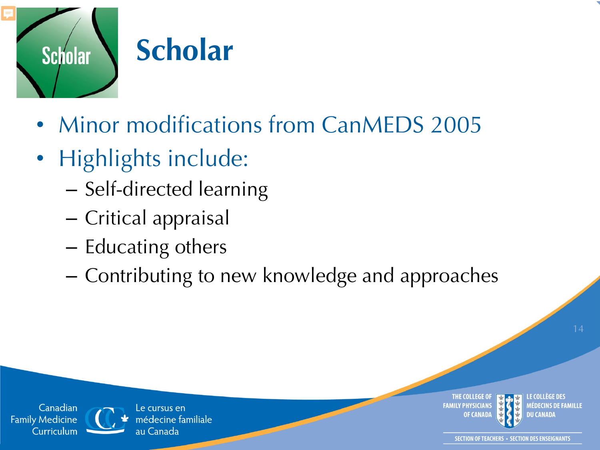

#### **Scholar**

- Minor modifications from CanMEDS 2005
- Highlights include:
	- Self-directed learning
	- Critical appraisal
	- Educating others
	- Contributing to new knowledge and approaches





Canadian

Curriculum

**Family Medicine** 

Le cursus en médecine familiale au Canada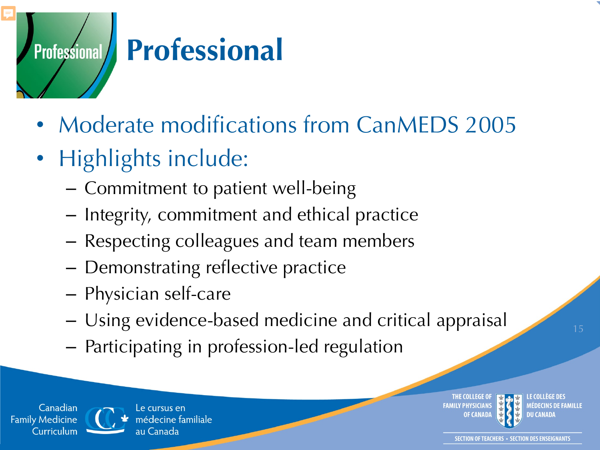# **Professional** Professional

- Moderate modifications from CanMEDS 2005
- Highlights include:
	- Commitment to patient well-being
	- Integrity, commitment and ethical practice
	- Respecting colleagues and team members
	- Demonstrating reflective practice
	- Physician self-care
	- Using evidence-based medicine and critical appraisal
	- Participating in profession-led regulation

Canadian **Family Medicine** Curriculum



Le cursus en nédecine familiale

THE COLLEGE O **FAMILY PHYSICIANS** 



AEDECINS DE FAMILLE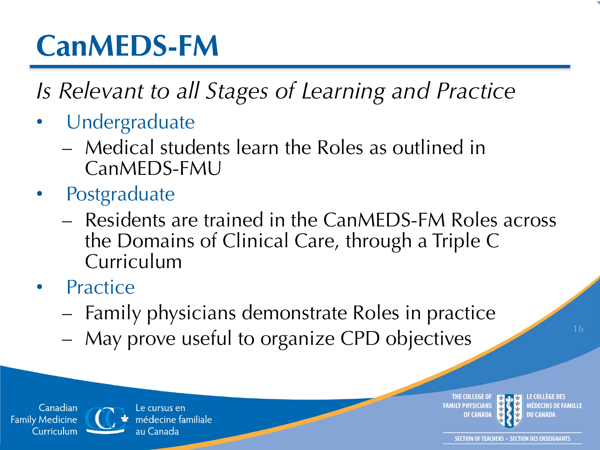#### **CanMEDS-FM**

*Is Relevant to all Stages of Learning and Practice*

- **Undergraduate** 
	- Medical students learn the Roles as outlined in CanMEDS-FMU
- **Postgraduate** 
	- Residents are trained in the CanMEDS-FM Roles across the Domains of Clinical Care, through a Triple C Curriculum
- **Practice** 
	- Family physicians demonstrate Roles in practice
	- May prove useful to organize CPD objectives

Canadian **Family Medicine** Curriculum



Le cursus en nédecine familiale au Canada

THE COLLEGE OF **FAMILY PHYSICIANS** 

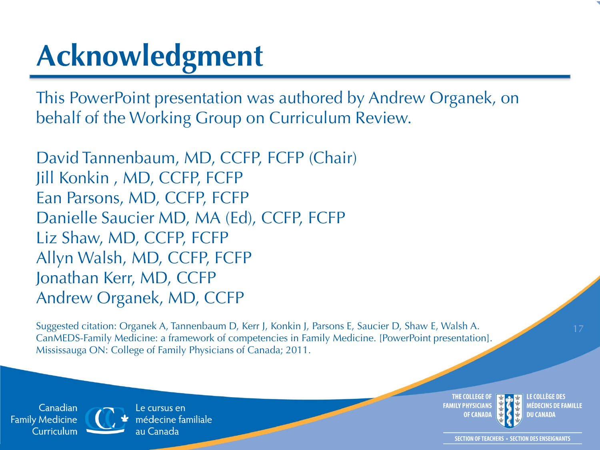#### **Acknowledgment**

This PowerPoint presentation was authored by Andrew Organek, on behalf of the Working Group on Curriculum Review.

David Tannenbaum, MD, CCFP, FCFP (Chair) Jill Konkin , MD, CCFP, FCFP Ean Parsons, MD, CCFP, FCFP Danielle Saucier MD, MA (Ed), CCFP, FCFP Liz Shaw, MD, CCFP, FCFP Allyn Walsh, MD, CCFP, FCFP Jonathan Kerr, MD, CCFP Andrew Organek, MD, CCFP

Suggested citation: Organek A, Tannenbaum D, Kerr J, Konkin J, Parsons E, Saucier D, Shaw E, Walsh A. CanMEDS-Family Medicine: a framework of competencies in Family Medicine. [PowerPoint presentation]. Mississauga ON: College of Family Physicians of Canada; 2011.

Canadian **Family Medicine** Curriculum

Le cursus en médecine familiale au Canada

THE COLLEGE OI **FAMILY PHYSICIANS OF CANAD** 



MÉDECINS DE FAMILLE DU CANADA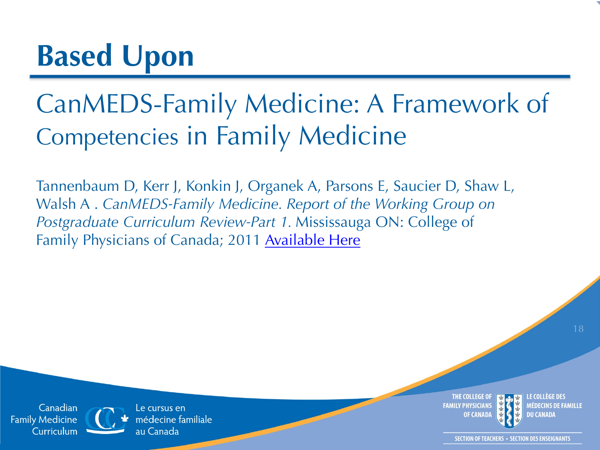#### CanMEDS-Family Medicine: A Framework of Competencies in Family Medicine

Tannenbaum D, Kerr J, Konkin J, Organek A, Parsons E, Saucier D, Shaw L, Walsh A . *CanMEDS-Family Medicine. Report of the Working Group on Postgraduate Curriculum Review-Part 1.* Mississauga ON: College of Family Physicians of Canada; 2011 [Available Here](http://www.cfpc.ca/uploadedFiles/Education/_PDFs/CanMeds%20FM%20FINAL%20Formatted%20version%20with%20tree%20Feb2011Aug30.pdf)

Canadian **Family Medicine** Curriculum

Le cursus en médecine familiale au Canada

THE COLLEGE OI **FAMILY PHYSICIANS OF CANAD**